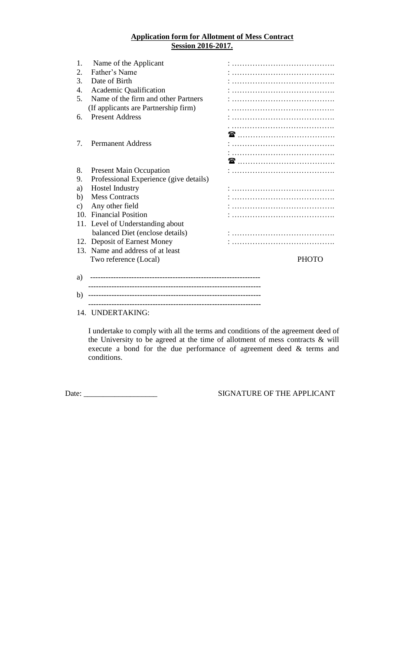### **Application form for Allotment of Mess Contract Session 2016-2017.**

| 1.            | Name of the Applicant                  |                         |
|---------------|----------------------------------------|-------------------------|
| 2.            | Father's Name                          |                         |
| 3.            | Date of Birth                          |                         |
| 4.            | Academic Qualification                 |                         |
| 5.            | Name of the firm and other Partners    |                         |
|               | (If applicants are Partnership firm)   |                         |
| 6.            | <b>Present Address</b>                 |                         |
|               |                                        |                         |
|               |                                        | <b>雷</b> …………………………………… |
| 7.            | <b>Permanent Address</b>               |                         |
|               |                                        |                         |
|               |                                        |                         |
|               |                                        |                         |
| 8.            | <b>Present Main Occupation</b>         |                         |
| 9.            | Professional Experience (give details) |                         |
| a)            | <b>Hostel Industry</b>                 |                         |
| b)            | <b>Mess Contracts</b>                  |                         |
| $\mathbf{c})$ | Any other field                        |                         |
| 10.           | <b>Financial Position</b>              |                         |
| 11.           | Level of Understanding about           |                         |
|               | balanced Diet (enclose details)        |                         |
|               | 12. Deposit of Earnest Money           |                         |
|               | 13. Name and address of at least       |                         |
|               | Two reference (Local)                  | <b>PHOTO</b>            |
|               |                                        |                         |
| a)            |                                        |                         |
| b)            |                                        |                         |

-------------------------------------------------------------------

#### 14. UNDERTAKING:

I undertake to comply with all the terms and conditions of the agreement deed of the University to be agreed at the time of allotment of mess contracts & will execute a bond for the due performance of agreement deed & terms and conditions.

Date: \_\_\_\_\_\_\_\_\_\_\_\_\_\_\_\_\_\_\_ SIGNATURE OF THE APPLICANT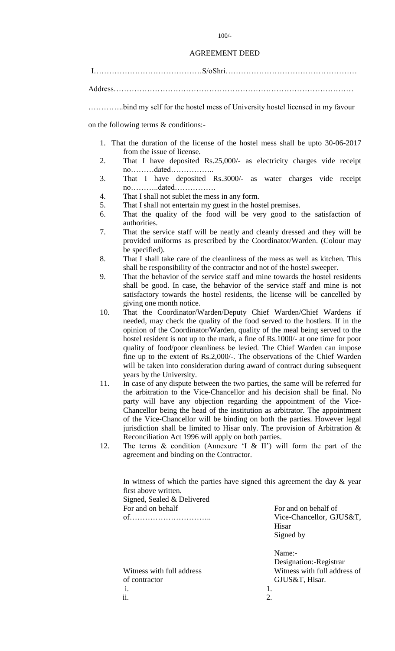#### AGREEMENT DEED

I……………………………………S/oShri……………………………………………

Address…………………………………………………………………………………

…………..bind my self for the hostel mess of University hostel licensed in my favour

on the following terms & conditions:-

- 1. That the duration of the license of the hostel mess shall be upto 30-06-2017 from the issue of license.
- 2. That I have deposited Rs.25,000/- as electricity charges vide receipt no………dated……………..
- 3. That I have deposited Rs.3000/- as water charges vide receipt no………..dated…………….
- 4. That I shall not sublet the mess in any form.
- 5. That I shall not entertain my guest in the hostel premises.
- 6. That the quality of the food will be very good to the satisfaction of authorities.
- 7. That the service staff will be neatly and cleanly dressed and they will be provided uniforms as prescribed by the Coordinator/Warden. (Colour may be specified).
- 8. That I shall take care of the cleanliness of the mess as well as kitchen. This shall be responsibility of the contractor and not of the hostel sweeper.
- 9. That the behavior of the service staff and mine towards the hostel residents shall be good. In case, the behavior of the service staff and mine is not satisfactory towards the hostel residents, the license will be cancelled by giving one month notice.
- 10. That the Coordinator/Warden/Deputy Chief Warden/Chief Wardens if needed, may check the quality of the food served to the hostlers. If in the opinion of the Coordinator/Warden, quality of the meal being served to the hostel resident is not up to the mark, a fine of Rs.1000/- at one time for poor quality of food/poor cleanliness be levied. The Chief Warden can impose fine up to the extent of Rs.2,000/-. The observations of the Chief Warden will be taken into consideration during award of contract during subsequent years by the University.
- 11. In case of any dispute between the two parties, the same will be referred for the arbitration to the Vice-Chancellor and his decision shall be final. No party will have any objection regarding the appointment of the Vice-Chancellor being the head of the institution as arbitrator. The appointment of the Vice-Chancellor will be binding on both the parties. However legal jurisdiction shall be limited to Hisar only. The provision of Arbitration & Reconciliation Act 1996 will apply on both parties.
- 12. The terms  $\&$  condition (Annexure 'I  $\&$  II') will form the part of the agreement and binding on the Contractor.

In witness of which the parties have signed this agreement the day  $\&$  year first above written. Signed, Sealed & Delivered For and on behalf For and on behalf of of………………………….. Vice-Chancellor, GJUS&T,

of contractor GJUS&T, Hisar. i. 1.  $\overline{\mathbf{a}}$ . 2.

Hisar Signed by

Name:- Designation:-Registrar Witness with full address Witness with full address of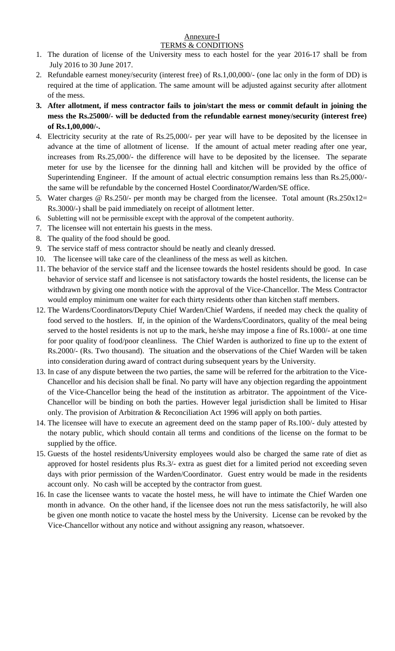#### Annexure-I TERMS & CONDITIONS

- 1. The duration of license of the University mess to each hostel for the year 2016-17 shall be from July 2016 to 30 June 2017.
- 2. Refundable earnest money/security (interest free) of Rs.1,00,000/- (one lac only in the form of DD) is required at the time of application. The same amount will be adjusted against security after allotment of the mess.
- **3. After allotment, if mess contractor fails to join/start the mess or commit default in joining the mess the Rs.25000/- will be deducted from the refundable earnest money/security (interest free) of Rs.1,00,000/-.**
- 4. Electricity security at the rate of Rs.25,000/- per year will have to be deposited by the licensee in advance at the time of allotment of license. If the amount of actual meter reading after one year, increases from Rs.25,000/- the difference will have to be deposited by the licensee. The separate meter for use by the licensee for the dinning hall and kitchen will be provided by the office of Superintending Engineer. If the amount of actual electric consumption remains less than Rs.25,000/ the same will be refundable by the concerned Hostel Coordinator/Warden/SE office.
- 5. Water charges @ Rs.250/- per month may be charged from the licensee. Total amount (Rs.250x12= Rs.3000/-) shall be paid immediately on receipt of allotment letter.
- 6. Subletting will not be permissible except with the approval of the competent authority.
- 7. The licensee will not entertain his guests in the mess.
- 8. The quality of the food should be good.
- 9. The service staff of mess contractor should be neatly and cleanly dressed.
- 10. The licensee will take care of the cleanliness of the mess as well as kitchen.
- 11. The behavior of the service staff and the licensee towards the hostel residents should be good. In case behavior of service staff and licensee is not satisfactory towards the hostel residents, the license can be withdrawn by giving one month notice with the approval of the Vice-Chancellor. The Mess Contractor would employ minimum one waiter for each thirty residents other than kitchen staff members.
- 12. The Wardens/Coordinators/Deputy Chief Warden/Chief Wardens, if needed may check the quality of food served to the hostlers. If, in the opinion of the Wardens/Coordinators, quality of the meal being served to the hostel residents is not up to the mark, he/she may impose a fine of Rs.1000/- at one time for poor quality of food/poor cleanliness. The Chief Warden is authorized to fine up to the extent of Rs.2000/- (Rs. Two thousand). The situation and the observations of the Chief Warden will be taken into consideration during award of contract during subsequent years by the University.
- 13. In case of any dispute between the two parties, the same will be referred for the arbitration to the Vice-Chancellor and his decision shall be final. No party will have any objection regarding the appointment of the Vice-Chancellor being the head of the institution as arbitrator. The appointment of the Vice-Chancellor will be binding on both the parties. However legal jurisdiction shall be limited to Hisar only. The provision of Arbitration & Reconciliation Act 1996 will apply on both parties.
- 14. The licensee will have to execute an agreement deed on the stamp paper of Rs.100/- duly attested by the notary public, which should contain all terms and conditions of the license on the format to be supplied by the office.
- 15. Guests of the hostel residents/University employees would also be charged the same rate of diet as approved for hostel residents plus Rs.3/- extra as guest diet for a limited period not exceeding seven days with prior permission of the Warden/Coordinator. Guest entry would be made in the residents account only. No cash will be accepted by the contractor from guest.
- 16. In case the licensee wants to vacate the hostel mess, he will have to intimate the Chief Warden one month in advance. On the other hand, if the licensee does not run the mess satisfactorily, he will also be given one month notice to vacate the hostel mess by the University. License can be revoked by the Vice-Chancellor without any notice and without assigning any reason, whatsoever.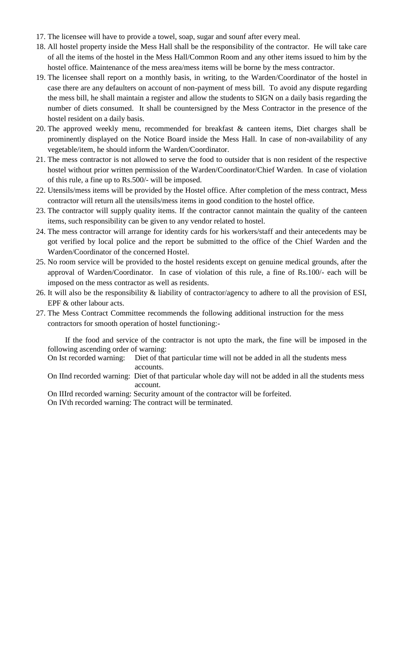- 17. The licensee will have to provide a towel, soap, sugar and sounf after every meal.
- 18. All hostel property inside the Mess Hall shall be the responsibility of the contractor. He will take care of all the items of the hostel in the Mess Hall/Common Room and any other items issued to him by the hostel office. Maintenance of the mess area/mess items will be borne by the mess contractor.
- 19. The licensee shall report on a monthly basis, in writing, to the Warden/Coordinator of the hostel in case there are any defaulters on account of non-payment of mess bill. To avoid any dispute regarding the mess bill, he shall maintain a register and allow the students to SIGN on a daily basis regarding the number of diets consumed. It shall be countersigned by the Mess Contractor in the presence of the hostel resident on a daily basis.
- 20. The approved weekly menu, recommended for breakfast & canteen items, Diet charges shall be prominently displayed on the Notice Board inside the Mess Hall. In case of non-availability of any vegetable/item, he should inform the Warden/Coordinator.
- 21. The mess contractor is not allowed to serve the food to outsider that is non resident of the respective hostel without prior written permission of the Warden/Coordinator/Chief Warden. In case of violation of this rule, a fine up to Rs.500/- will be imposed.
- 22. Utensils/mess items will be provided by the Hostel office. After completion of the mess contract, Mess contractor will return all the utensils/mess items in good condition to the hostel office.
- 23. The contractor will supply quality items. If the contractor cannot maintain the quality of the canteen items, such responsibility can be given to any vendor related to hostel.
- 24. The mess contractor will arrange for identity cards for his workers/staff and their antecedents may be got verified by local police and the report be submitted to the office of the Chief Warden and the Warden/Coordinator of the concerned Hostel.
- 25. No room service will be provided to the hostel residents except on genuine medical grounds, after the approval of Warden/Coordinator. In case of violation of this rule, a fine of Rs.100/- each will be imposed on the mess contractor as well as residents.
- 26. It will also be the responsibility & liability of contractor/agency to adhere to all the provision of ESI, EPF & other labour acts.
- 27. The Mess Contract Committee recommends the following additional instruction for the mess contractors for smooth operation of hostel functioning:-

If the food and service of the contractor is not upto the mark, the fine will be imposed in the following ascending order of warning:

- On Ist recorded warning: Diet of that particular time will not be added in all the students mess accounts.
- On IInd recorded warning: Diet of that particular whole day will not be added in all the students mess account.
- On IIIrd recorded warning: Security amount of the contractor will be forfeited.

On IVth recorded warning: The contract will be terminated.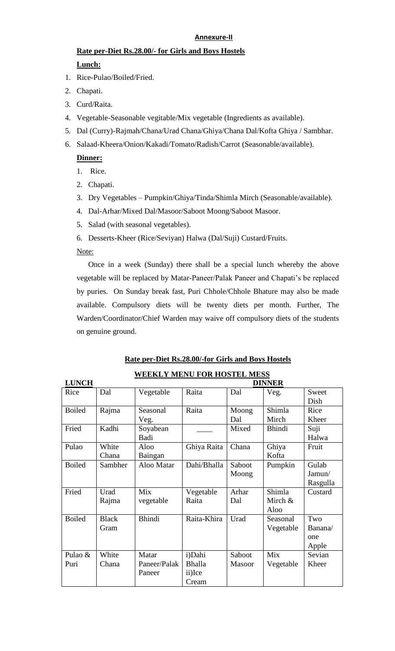# **Annexure-II**

# **Rate per-Diet Rs.28.00/- for Girls and Boys Hostels Lunch:**

- 1. Rice-Pulao/Boiled/Fried.
- 2. Chapati.
- 3. Curd/Raita.
- 4. Vegetable-Seasonable vegitable/Mix vegetable (Ingredients as available).
- 5. Dal (Curry)-Rajmah/Chana/Urad Chana/Ghiya/Chana Dal/Kofta Ghiya / Sambhar.
- 6. Salaad-Kheera/Onion/Kakadi/Tomato/Radish/Carrot (Seasonable/available).

## **Dinner:**

- 1. Rice.
- 2. Chapati.
- 3. Dry Vegetables Pumpkin/Ghiya/Tinda/Shimla Mirch (Seasonable/available).
- 4. Dal-Arhar/Mixed Dal/Masoor/Saboot Moong/Saboot Masoor.
- 5. Salad (with seasonal vegetables).
- 6. Desserts-Kheer (Rice/Seviyan) Halwa (Dal/Suji) Custard/Fruits.

Note:

Once in a week (Sunday) there shall be a special lunch whereby the above vegetable will be replaced by Matar-Paneer/Palak Paneer and Chapati's be replaced by puries. On Sunday break fast, Puri Chhole/Chhole Bhature may also be made available. Compulsory diets will be twenty diets per month. Further, The Warden/Coordinator/Chief Warden may waive off compulsory diets of the students on genuine ground.

| <b>LUNCH</b>  |              | <b>DINNER</b> |               |        |               |          |
|---------------|--------------|---------------|---------------|--------|---------------|----------|
| Rice          | Dal          | Vegetable     | Raita         | Dal    | Veg.          | Sweet    |
|               |              |               |               |        |               | Dish     |
| <b>Boiled</b> | Rajma        | Seasonal      | Raita         | Moong  | Shimla        | Rice     |
|               |              | Veg.          |               | Dal    | Mirch         | Kheer    |
| Fried         | Kadhi        | Soyabean      |               | Mixed  | <b>Bhindi</b> | Suji     |
|               |              | Badi          |               |        |               | Halwa    |
| Pulao         | White        | Aloo          | Ghiya Raita   | Chana  | Ghiya         | Fruit    |
|               | Chana        | Baingan       |               |        | Kofta         |          |
| <b>Boiled</b> | Sambher      | Aloo Matar    | Dahi/Bhalla   | Saboot | Pumpkin       | Gulab    |
|               |              |               |               | Moong  |               | Jamun/   |
|               |              |               |               |        |               | Rasgulla |
| Fried         | Urad         | Mix           | Vegetable     | Arhar  | Shimla        | Custard  |
|               | Rajma        | vegetable     | Raita         | Dal    | Mirch &       |          |
|               |              |               |               |        | Aloo          |          |
| <b>Boiled</b> | <b>Black</b> | <b>Bhindi</b> | Raita-Khira   | Urad   | Seasonal      | Two      |
|               | Gram         |               |               |        | Vegetable     | Banana/  |
|               |              |               |               |        |               | one      |
|               |              |               |               |        |               | Apple    |
| Pulao &       | White        | Matar         | i)Dahi        | Saboot | Mix           | Sevian   |
| Puri          | Chana        | Paneer/Palak  | <b>Bhalla</b> | Masoor | Vegetable     | Kheer    |
|               |              | Paneer        | ii)Ice        |        |               |          |
|               |              |               | Cream         |        |               |          |

## **Rate per-Diet Rs.28.00/-for Girls and Boys Hostels**

**WEEKLY MENU FOR HOSTEL MESS**